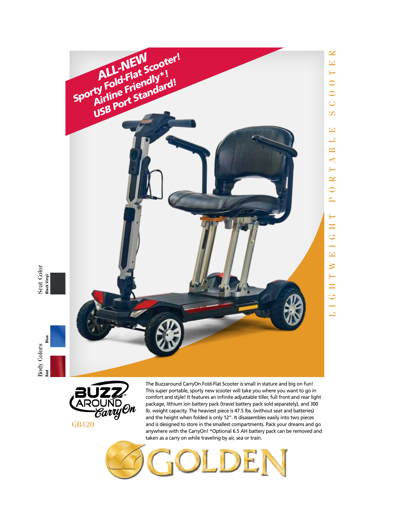







The Buzzaround CarryOn Fold-Flat Scooter is small in stature and big on fun! This super portable, sporty new scooter will take you where you want to go in comfort and style! It features an infinite adjustable tiller, full front and rear light package, lithium ion battery pack (travel battery pack sold separately), and 300 lb. weight capacity. The heaviest piece is 47.5 lbs. (without seat and batteries) and the height when folded is only 12". It disassembles easily into two pieces and is designed to store in the smallest compartments. Pack your dreams and go anywhere with the CarryOn! \*Optional 6.5 AH battery pack can be removed and taken as a carry on while traveling by air, sea or train.

L I G H T W E I G H T P O R T A B L E S C O O T E R

 $\longleftarrow$ H G  $\rightarrow$  $\mathbf{E}$  $\geq$ 

 $\overline{\phantom{0}}$ H  $\overline{C}$  $\overline{\phantom{0}}$  $\Box$ 

 $\mathbf{E}$ 山  $\mathbf{\underline{\infty}}$  $\blacktriangleleft$  $\longmapsto$  $\simeq$  $\overline{\mathbf{C}}$  $\sim$ 

 $\simeq$  $\mathbf{E}$  $\mapsto$  $\overline{\mathsf{C}}$  $\overline{\mathsf{C}}$  $\cup$  $\infty$